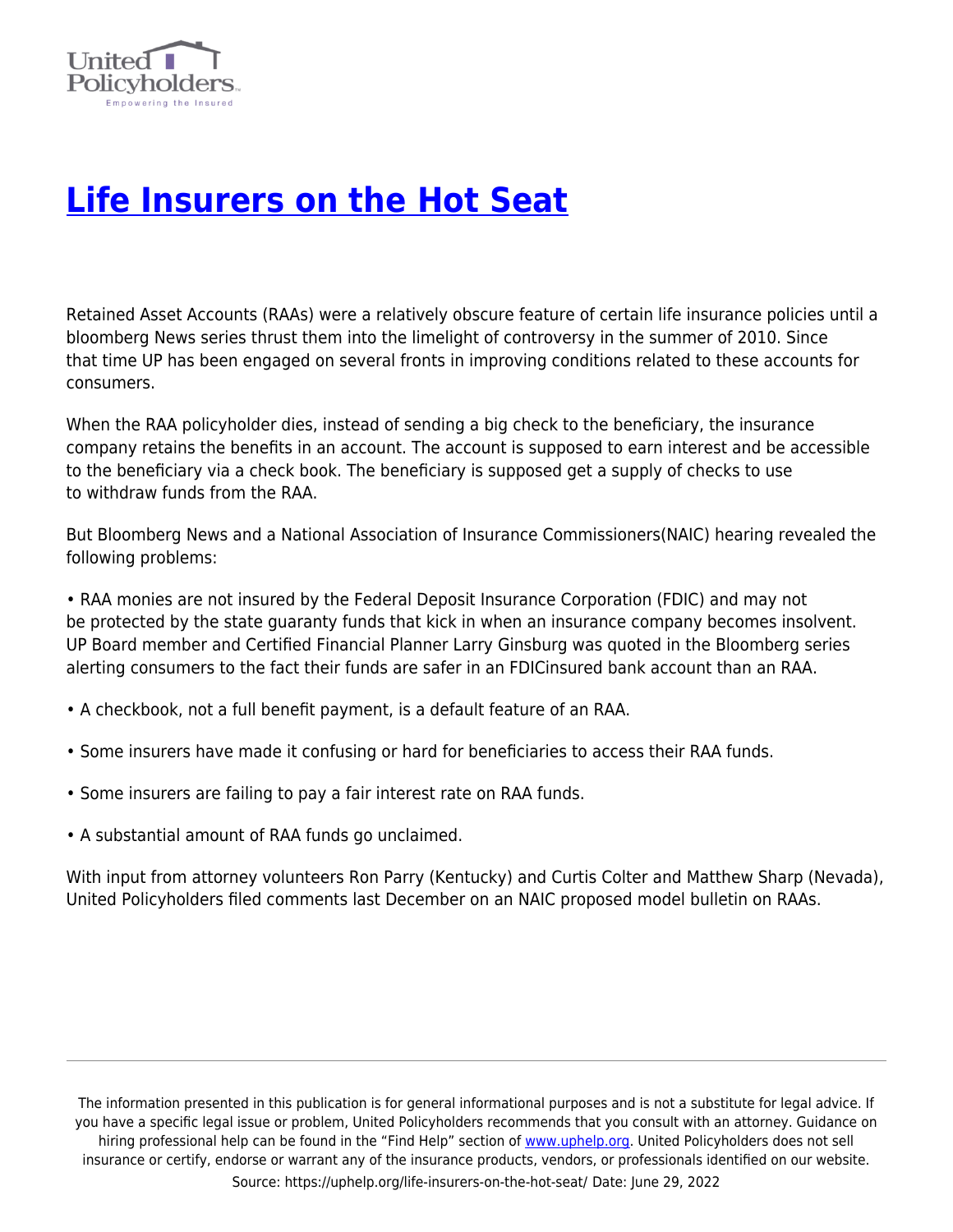

## **[Life Insurers on the Hot Seat](https://uphelp.org/life-insurers-on-the-hot-seat/)**

Retained Asset Accounts (RAAs) were a relatively obscure feature of certain life insurance policies until a bloomberg News series thrust them into the limelight of controversy in the summer of 2010. Since that time UP has been engaged on several fronts in improving conditions related to these accounts for consumers.

When the RAA policyholder dies, instead of sending a big check to the beneficiary, the insurance company retains the benefits in an account. The account is supposed to earn interest and be accessible to the beneficiary via a check book. The beneficiary is supposed get a supply of checks to use to withdraw funds from the RAA.

But Bloomberg News and a National Association of Insurance Commissioners(NAIC) hearing revealed the following problems:

• RAA monies are not insured by the Federal Deposit Insurance Corporation (FDIC) and may not be protected by the state guaranty funds that kick in when an insurance company becomes insolvent. UP Board member and Certified Financial Planner Larry Ginsburg was quoted in the Bloomberg series alerting consumers to the fact their funds are safer in an FDICinsured bank account than an RAA.

- A checkbook, not a full benefit payment, is a default feature of an RAA.
- Some insurers have made it confusing or hard for beneficiaries to access their RAA funds.
- Some insurers are failing to pay a fair interest rate on RAA funds.
- A substantial amount of RAA funds go unclaimed.

With input from attorney volunteers Ron Parry (Kentucky) and Curtis Colter and Matthew Sharp (Nevada), United Policyholders filed comments last December on an NAIC proposed model bulletin on RAAs.

The information presented in this publication is for general informational purposes and is not a substitute for legal advice. If you have a specific legal issue or problem, United Policyholders recommends that you consult with an attorney. Guidance on hiring professional help can be found in the "Find Help" section of [www.uphelp.org.](http://www.uphelp.org/) United Policyholders does not sell insurance or certify, endorse or warrant any of the insurance products, vendors, or professionals identified on our website. Source: https://uphelp.org/life-insurers-on-the-hot-seat/ Date: June 29, 2022